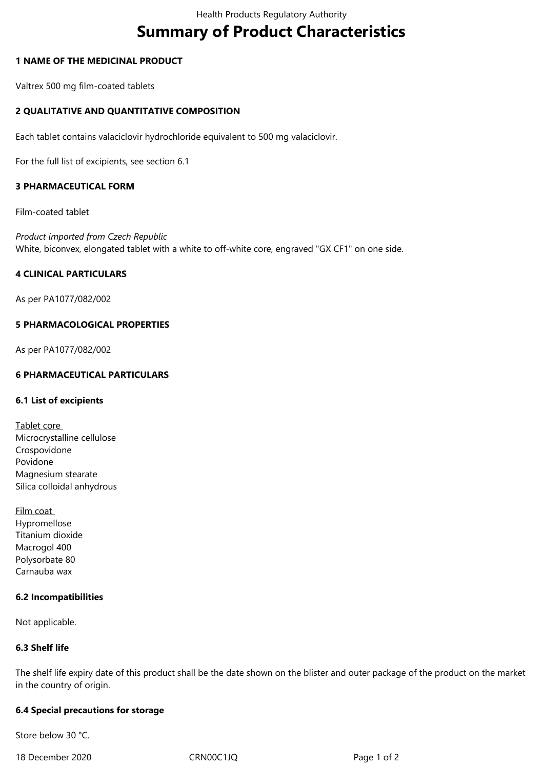# **Summary of Product Characteristics**

## **1 NAME OF THE MEDICINAL PRODUCT**

Valtrex 500 mg film-coated tablets

## **2 QUALITATIVE AND QUANTITATIVE COMPOSITION**

Each tablet contains valaciclovir hydrochloride equivalent to 500 mg valaciclovir.

For the full list of excipients, see section 6.1

### **3 PHARMACEUTICAL FORM**

Film-coated tablet

*Product imported from Czech Republic* White, biconvex, elongated tablet with a white to off-white core, engraved "GX CF1" on one side.

#### **4 CLINICAL PARTICULARS**

As per PA1077/082/002

#### **5 PHARMACOLOGICAL PROPERTIES**

As per PA1077/082/002

## **6 PHARMACEUTICAL PARTICULARS**

#### **6.1 List of excipients**

- Tablet core Microcrystalline cellulose Crospovidone Povidone Magnesium stearate Silica colloidal anhydrous
- Film coat Hypromellose Titanium dioxide Macrogol 400 Polysorbate 80 Carnauba wax

#### **6.2 Incompatibilities**

Not applicable.

#### **6.3 Shelf life**

The shelf life expiry date of this product shall be the date shown on the blister and outer package of the product on the market in the country of origin.

#### **6.4 Special precautions for storage**

Store below 30 °C.

18 December 2020 CRN00C1JQ Page 1 of 2